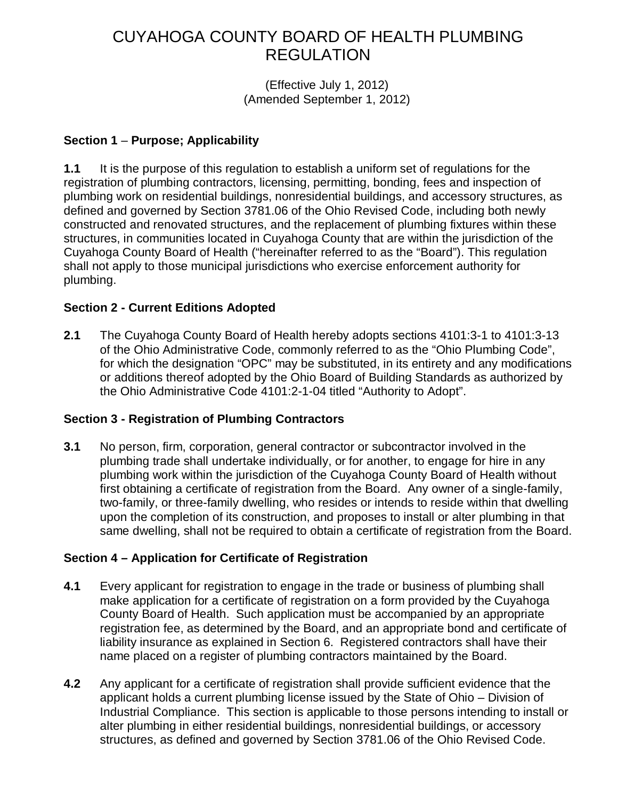# CUYAHOGA COUNTY BOARD OF HEALTH PLUMBING REGULATION

(Effective July 1, 2012) (Amended September 1, 2012)

#### **Section 1** – **Purpose; Applicability**

**1.1** It is the purpose of this regulation to establish a uniform set of regulations for the registration of plumbing contractors, licensing, permitting, bonding, fees and inspection of plumbing work on residential buildings, nonresidential buildings, and accessory structures, as defined and governed by Section 3781.06 of the Ohio Revised Code, including both newly constructed and renovated structures, and the replacement of plumbing fixtures within these structures, in communities located in Cuyahoga County that are within the jurisdiction of the Cuyahoga County Board of Health ("hereinafter referred to as the "Board"). This regulation shall not apply to those municipal jurisdictions who exercise enforcement authority for plumbing.

### **Section 2 - Current Editions Adopted**

**2.1** The Cuyahoga County Board of Health hereby adopts sections 4101:3-1 to 4101:3-13 of the Ohio Administrative Code, commonly referred to as the "Ohio Plumbing Code", for which the designation "OPC" may be substituted, in its entirety and any modifications or additions thereof adopted by the Ohio Board of Building Standards as authorized by the Ohio Administrative Code 4101:2-1-04 titled "Authority to Adopt".

## **Section 3 - Registration of Plumbing Contractors**

**3.1** No person, firm, corporation, general contractor or subcontractor involved in the plumbing trade shall undertake individually, or for another, to engage for hire in any plumbing work within the jurisdiction of the Cuyahoga County Board of Health without first obtaining a certificate of registration from the Board. Any owner of a single-family, two-family, or three-family dwelling, who resides or intends to reside within that dwelling upon the completion of its construction, and proposes to install or alter plumbing in that same dwelling, shall not be required to obtain a certificate of registration from the Board.

## **Section 4 – Application for Certificate of Registration**

- **4.1** Every applicant for registration to engage in the trade or business of plumbing shall make application for a certificate of registration on a form provided by the Cuyahoga County Board of Health. Such application must be accompanied by an appropriate registration fee, as determined by the Board, and an appropriate bond and certificate of liability insurance as explained in Section 6. Registered contractors shall have their name placed on a register of plumbing contractors maintained by the Board.
- **4.2** Any applicant for a certificate of registration shall provide sufficient evidence that the applicant holds a current plumbing license issued by the State of Ohio – Division of Industrial Compliance. This section is applicable to those persons intending to install or alter plumbing in either residential buildings, nonresidential buildings, or accessory structures, as defined and governed by Section 3781.06 of the Ohio Revised Code.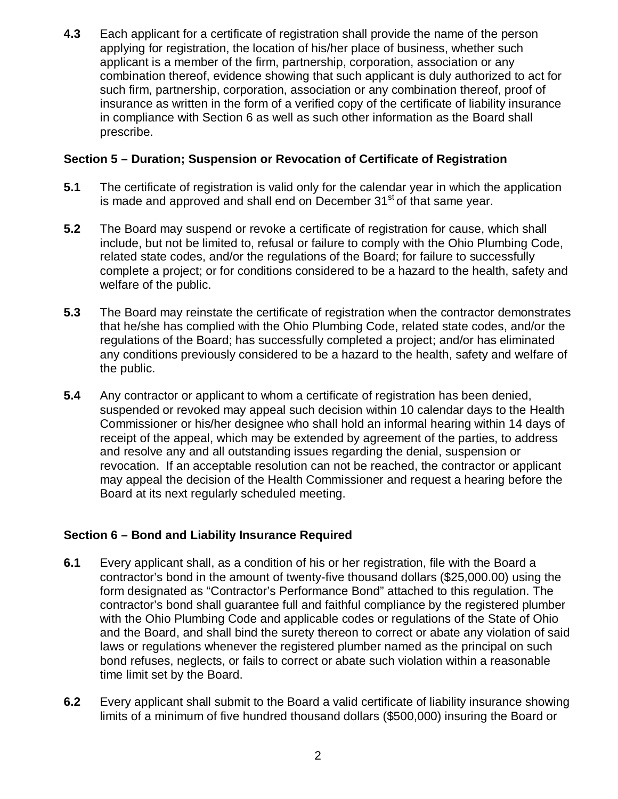**4.3** Each applicant for a certificate of registration shall provide the name of the person applying for registration, the location of his/her place of business, whether such applicant is a member of the firm, partnership, corporation, association or any combination thereof, evidence showing that such applicant is duly authorized to act for such firm, partnership, corporation, association or any combination thereof, proof of insurance as written in the form of a verified copy of the certificate of liability insurance in compliance with Section 6 as well as such other information as the Board shall prescribe.

#### **Section 5 – Duration; Suspension or Revocation of Certificate of Registration**

- **5.1** The certificate of registration is valid only for the calendar year in which the application is made and approved and shall end on December  $31<sup>st</sup>$  of that same year.
- **5.2** The Board may suspend or revoke a certificate of registration for cause, which shall include, but not be limited to, refusal or failure to comply with the Ohio Plumbing Code, related state codes, and/or the regulations of the Board; for failure to successfully complete a project; or for conditions considered to be a hazard to the health, safety and welfare of the public.
- **5.3** The Board may reinstate the certificate of registration when the contractor demonstrates that he/she has complied with the Ohio Plumbing Code, related state codes, and/or the regulations of the Board; has successfully completed a project; and/or has eliminated any conditions previously considered to be a hazard to the health, safety and welfare of the public.
- **5.4** Any contractor or applicant to whom a certificate of registration has been denied, suspended or revoked may appeal such decision within 10 calendar days to the Health Commissioner or his/her designee who shall hold an informal hearing within 14 days of receipt of the appeal, which may be extended by agreement of the parties, to address and resolve any and all outstanding issues regarding the denial, suspension or revocation. If an acceptable resolution can not be reached, the contractor or applicant may appeal the decision of the Health Commissioner and request a hearing before the Board at its next regularly scheduled meeting.

## **Section 6 – Bond and Liability Insurance Required**

- **6.1** Every applicant shall, as a condition of his or her registration, file with the Board a contractor's bond in the amount of twenty-five thousand dollars (\$25,000.00) using the form designated as "Contractor's Performance Bond" attached to this regulation. The contractor's bond shall guarantee full and faithful compliance by the registered plumber with the Ohio Plumbing Code and applicable codes or regulations of the State of Ohio and the Board, and shall bind the surety thereon to correct or abate any violation of said laws or regulations whenever the registered plumber named as the principal on such bond refuses, neglects, or fails to correct or abate such violation within a reasonable time limit set by the Board.
- **6.2** Every applicant shall submit to the Board a valid certificate of liability insurance showing limits of a minimum of five hundred thousand dollars (\$500,000) insuring the Board or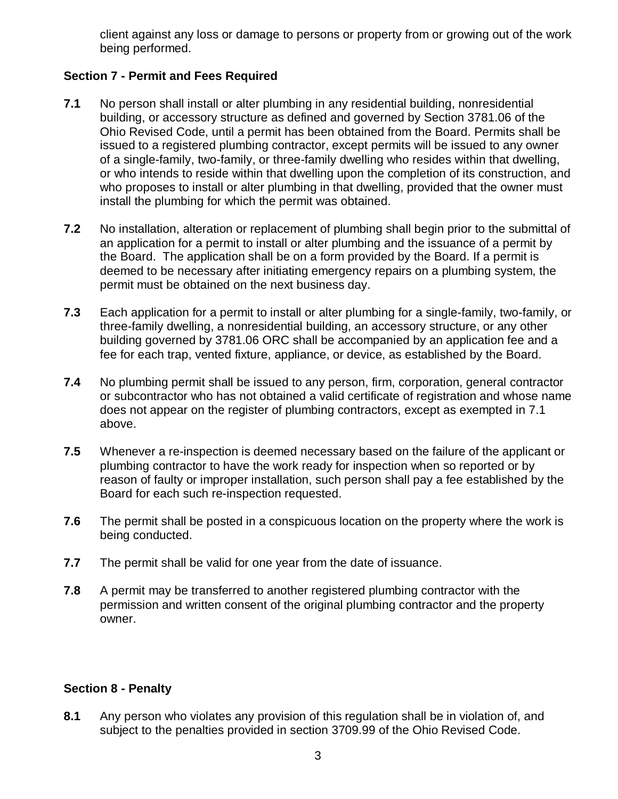client against any loss or damage to persons or property from or growing out of the work being performed.

#### **Section 7 - Permit and Fees Required**

- **7.1** No person shall install or alter plumbing in any residential building, nonresidential building, or accessory structure as defined and governed by Section 3781.06 of the Ohio Revised Code, until a permit has been obtained from the Board. Permits shall be issued to a registered plumbing contractor, except permits will be issued to any owner of a single-family, two-family, or three-family dwelling who resides within that dwelling, or who intends to reside within that dwelling upon the completion of its construction, and who proposes to install or alter plumbing in that dwelling, provided that the owner must install the plumbing for which the permit was obtained.
- **7.2** No installation, alteration or replacement of plumbing shall begin prior to the submittal of an application for a permit to install or alter plumbing and the issuance of a permit by the Board. The application shall be on a form provided by the Board. If a permit is deemed to be necessary after initiating emergency repairs on a plumbing system, the permit must be obtained on the next business day.
- **7.3** Each application for a permit to install or alter plumbing for a single-family, two-family, or three-family dwelling, a nonresidential building, an accessory structure, or any other building governed by 3781.06 ORC shall be accompanied by an application fee and a fee for each trap, vented fixture, appliance, or device, as established by the Board.
- **7.4** No plumbing permit shall be issued to any person, firm, corporation, general contractor or subcontractor who has not obtained a valid certificate of registration and whose name does not appear on the register of plumbing contractors, except as exempted in 7.1 above.
- **7.5** Whenever a re-inspection is deemed necessary based on the failure of the applicant or plumbing contractor to have the work ready for inspection when so reported or by reason of faulty or improper installation, such person shall pay a fee established by the Board for each such re-inspection requested.
- **7.6** The permit shall be posted in a conspicuous location on the property where the work is being conducted.
- **7.7** The permit shall be valid for one year from the date of issuance.
- **7.8** A permit may be transferred to another registered plumbing contractor with the permission and written consent of the original plumbing contractor and the property owner.

#### **Section 8 - Penalty**

**8.1** Any person who violates any provision of this regulation shall be in violation of, and subject to the penalties provided in section 3709.99 of the Ohio Revised Code.